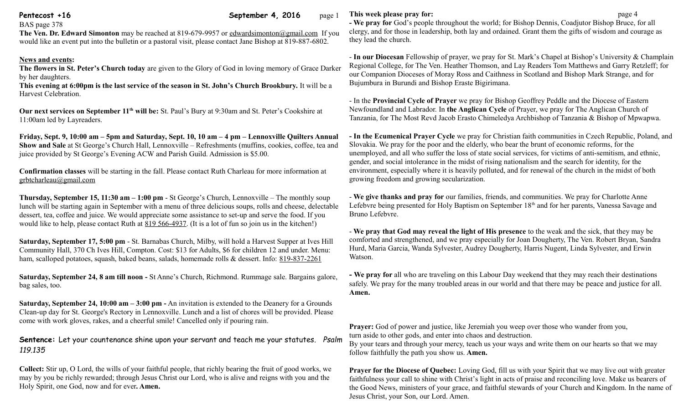**Pentecost +16 Pentecost +16 September 4, 2016** page 1

#### BAS page 378

**The Ven. Dr. Edward Simonton** may be reached at 819-679-9957 or [edwardsimonton@gmail.com](mailto:edwardsimonton@gmail.com) If you would like an event put into the bulletin or a pastoral visit, please contact Jane Bishop at 819-887-6802.

# **News and events:**

**The flowers in St. Peter's Church today** are given to the Glory of God in loving memory of Grace Darker by her daughters.

**This evening at 6:00pm is the last service of the season in St. John's Church Brookbury.** It will be a Harvest Celebration.

**Our next services on September 11th will be:** St. Paul's Bury at 9:30am and St. Peter's Cookshire at 11:00am led by Layreaders.

**Friday, Sept. 9, 10:00 am – 5pm and Saturday, Sept. 10, 10 am – 4 pm – Lennoxville Quilters Annual Show and Sale** at St George's Church Hall, Lennoxville – Refreshments (muffins, cookies, coffee, tea and juice provided by St George's Evening ACW and Parish Guild. Admission is \$5.00.

**Confirmation classes** will be starting in the fall. Please contact Ruth Charleau for more information at [grbtcharleau@gmail.com](mailto:grbtcharleau@gmail.com) 

**Thursday, September 15, 11:30 am – 1:00 pm** - St George's Church, Lennoxville – The monthly soup lunch will be starting again in September with a menu of three delicious soups, rolls and cheese, delectable dessert, tea, coffee and juice. We would appreciate some assistance to set-up and serve the food. If you would like to help, please contact Ruth at [819 566-4937.](tel:819%20566-4937) (It is a lot of fun so join us in the kitchen!)

**Saturday, September 17, 5:00 pm** - St. Barnabas Church, Milby, will hold a Harvest Supper at Ives Hill Community Hall, 370 Ch Ives Hill, Compton. Cost: \$13 for Adults, \$6 for children 12 and under. Menu: ham, scalloped potatoes, squash, baked beans, salads, homemade rolls & dessert. Info: [819-837-2261](tel:819-837-2261)

**Saturday, September 24, 8 am till noon -** St Anne's Church, Richmond. Rummage sale. Bargains galore, bag sales, too.

**Saturday, September 24, 10:00 am – 3:00 pm -** An invitation is extended to the Deanery for a Grounds Clean-up day for St. George's Rectory in Lennoxville. Lunch and a list of chores will be provided. Please come with work gloves, rakes, and a cheerful smile! Cancelled only if pouring rain.

**Sentence:** Let your countenance shine upon your servant and teach me your statutes. *Psalm 119.135*

**Collect:** Stir up, O Lord, the wills of your faithful people, that richly bearing the fruit of good works, we may by you be richly rewarded; through Jesus Christ our Lord, who is alive and reigns with you and the Holy Spirit, one God, now and for ever**. Amen.**

# **This week please pray for: page 4**

**- We pray for** God's people throughout the world; for Bishop Dennis, Coadjutor Bishop Bruce, for all clergy, and for those in leadership, both lay and ordained. Grant them the gifts of wisdom and courage as they lead the church.

- **In our Diocesan** Fellowship of prayer, we pray for St. Mark's Chapel at Bishop's University & Champlain Regional College, for The Ven. Heather Thomson, and Lay Readers Tom Matthews and Garry Retzleff; for our Companion Dioceses of Moray Ross and Caithness in Scotland and Bishop Mark Strange, and for Bujumbura in Burundi and Bishop Eraste Bigirimana.

- In the **Provincial Cycle of Prayer** we pray for Bishop Geoffrey Peddle and the Diocese of Eastern Newfoundland and Labrador. In **the Anglican Cycle** of Prayer, we pray for The Anglican Church of Tanzania, for The Most Revd Jacob Erasto Chimeledya Archbishop of Tanzania & Bishop of Mpwapwa.

**- In the Ecumenical Prayer Cycle** we pray for Christian faith communities in Czech Republic, Poland, and Slovakia. We pray for the poor and the elderly, who bear the brunt of economic reforms, for the unemployed, and all who suffer the loss of state social services, for victims of anti-semitism, and ethnic, gender, and social intolerance in the midst of rising nationalism and the search for identity, for the environment, especially where it is heavily polluted, and for renewal of the church in the midst of both growing freedom and growing secularization.

- **We give thanks and pray for** our families, friends, and communities. We pray for Charlotte Anne Lefebvre being presented for Holy Baptism on September 18<sup>th</sup> and for her parents, Vanessa Savage and Bruno Lefebvre.

- **We pray that God may reveal the light of His presence** to the weak and the sick, that they may be comforted and strengthened, and we pray especially for Joan Dougherty, The Ven. Robert Bryan, Sandra Hurd, Maria Garcia, Wanda Sylvester, Audrey Dougherty, Harris Nugent, Linda Sylvester, and Erwin Watson.

**- We pray for** all who are traveling on this Labour Day weekend that they may reach their destinations safely. We pray for the many troubled areas in our world and that there may be peace and justice for all. **Amen.**

**Prayer:** God of power and justice, like Jeremiah you weep over those who wander from you, turn aside to other gods, and enter into chaos and destruction.

By your tears and through your mercy, teach us your ways and write them on our hearts so that we may follow faithfully the path you show us. **Amen.**

**Prayer for the Diocese of Quebec:** Loving God, fill us with your Spirit that we may live out with greater faithfulness your call to shine with Christ's light in acts of praise and reconciling love. Make us bearers of the Good News, ministers of your grace, and faithful stewards of your Church and Kingdom. In the name of Jesus Christ, your Son, our Lord. Amen.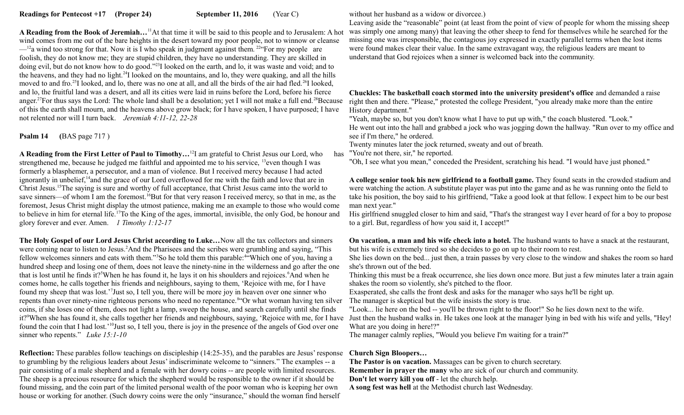**A Reading from the Book of Jeremiah…**<sup>11</sup>At that time it will be said to this people and to Jerusalem: A hot wind comes from me out of the bare heights in the desert toward my poor people, not to winnow or cleanse  $-$ <sup>12</sup>a wind too strong for that. Now it is I who speak in judgment against them.<sup>22</sup> For my people are foolish, they do not know me; they are stupid children, they have no understanding. They are skilled in doing evil, but do not know how to do good."<sup>23</sup>I looked on the earth, and lo, it was waste and void; and to the heavens, and they had no light.<sup>24</sup>I looked on the mountains, and lo, they were quaking, and all the hills moved to and fro.<sup>25</sup>I looked, and lo, there was no one at all, and all the birds of the air had fled.<sup>26</sup>I looked, and lo, the fruitful land was a desert, and all its cities were laid in ruins before the Lord, before his fierce anger.<sup>27</sup>For thus says the Lord: The whole land shall be a desolation; yet I will not make a full end.<sup>28</sup>Because of this the earth shall mourn, and the heavens above grow black; for I have spoken, I have purposed; I have not relented nor will I turn back. *Jeremiah 4:11-12, 22-28* 

**Psalm 14 (**BAS page 717 )

**A Reading from the First Letter of Paul to Timothy...**<sup>12</sup>I am grateful to Christ Jesus our Lord, who strengthened me, because he judged me faithful and appointed me to his service, <sup>13</sup>even though I was formerly a blasphemer, a persecutor, and a man of violence. But I received mercy because I had acted ignorantly in unbelief,<sup>14</sup> and the grace of our Lord overflowed for me with the faith and love that are in Christ Jesus.<sup>15</sup>The saying is sure and worthy of full acceptance, that Christ Jesus came into the world to save sinners—of whom I am the foremost.<sup>16</sup>But for that very reason I received mercy, so that in me, as the foremost, Jesus Christ might display the utmost patience, making me an example to those who would come to believe in him for eternal life.<sup>17</sup>To the King of the ages, immortal, invisible, the only God, be honour and glory forever and ever. Amen. *1 Timothy 1:12-17*

**The Holy Gospel of our Lord Jesus Christ according to Luke…**Now all the tax collectors and sinners were coming near to listen to Jesus.<sup>2</sup>And the Pharisees and the scribes were grumbling and saying, "This fellow welcomes sinners and eats with them."<sup>3</sup>So he told them this parable:<sup>4"</sup>Which one of you, having a hundred sheep and losing one of them, does not leave the ninety-nine in the wilderness and go after the one that is lost until he finds it?<sup>5</sup>When he has found it, he lays it on his shoulders and rejoices.<sup>6</sup>And when he comes home, he calls together his friends and neighbours, saying to them, 'Rejoice with me, for I have found my sheep that was lost.'<sup>7</sup> Just so, I tell you, there will be more joy in heaven over one sinner who repents than over ninety-nine righteous persons who need no repentance.<sup>844</sup>Or what woman having ten silver coins, if she loses one of them, does not light a lamp, sweep the house, and search carefully until she finds it?<sup>9</sup>When she has found it, she calls together her friends and neighbours, saying, 'Rejoice with me, for I have Just then the husband walks in. He takes one look at the manager lying in bed with his wife and yells, "Hey! found the coin that I had lost.<sup>'10</sup>Just so, I tell you, there is joy in the presence of the angels of God over one sinner who repents." *Luke 15:1-10*

**Reflection:** These parables follow teachings on discipleship (14:25-35), and the parables are Jesus' response to grumbling by the religious leaders about Jesus' indiscriminate welcome to "sinners." The examples -- a pair consisting of a male shepherd and a female with her dowry coins -- are people with limited resources. The sheep is a precious resource for which the shepherd would be responsible to the owner if it should be found missing, and the coin part of the limited personal wealth of the poor woman who is keeping her own house or working for another. (Such dowry coins were the only "insurance," should the woman find herself

# without her husband as a widow or divorcee.)

Leaving aside the "reasonable" point (at least from the point of view of people for whom the missing sheep was simply one among many) that leaving the other sheep to fend for themselves while he searched for the missing one was irresponsible, the contagious joy expressed in exactly parallel terms when the lost items were found makes clear their value. In the same extravagant way, the religious leaders are meant to understand that God rejoices when a sinner is welcomed back into the community.

**Chuckles: The basketball coach stormed into the university president's office** and demanded a raise right then and there. "Please," protested the college President, "you already make more than the entire History department."

"Yeah, maybe so, but you don't know what I have to put up with," the coach blustered. "Look." He went out into the hall and grabbed a jock who was jogging down the hallway. "Run over to my office and see if I'm there," he ordered.

Twenty minutes later the jock returned, sweaty and out of breath.

has "You're not there, sir," he reported.

"Oh, I see what you mean," conceded the President, scratching his head. "I would have just phoned."

**A college senior took his new girlfriend to a football game.** They found seats in the crowded stadium and were watching the action. A substitute player was put into the game and as he was running onto the field to take his position, the boy said to his girlfriend, "Take a good look at that fellow. I expect him to be our best man next year."

His girlfriend snuggled closer to him and said, "That's the strangest way I ever heard of for a boy to propose to a girl. But, regardless of how you said it, I accept!"

**On vacation, a man and his wife check into a hotel.** The husband wants to have a snack at the restaurant, but his wife is extremely tired so she decides to go on up to their room to rest.

She lies down on the bed... just then, a train passes by very close to the window and shakes the room so hard she's thrown out of the bed.

Thinking this must be a freak occurrence, she lies down once more. But just a few minutes later a train again shakes the room so violently, she's pitched to the floor.

Exasperated, she calls the front desk and asks for the manager who says he'll be right up.

The manager is skeptical but the wife insists the story is true.

"Look... lie here on the bed -- you'll be thrown right to the floor!" So he lies down next to the wife. What are you doing in here!?"

The manager calmly replies, "Would you believe I'm waiting for a train?"

# **Church Sign Bloopers…**

**The Pastor is on vacation.** Massages can be given to church secretary. **Remember in prayer the many** who are sick of our church and community.

**Don't let worry kill you off** - let the church help.

**A song fest was hell** at the Methodist church last Wednesday.